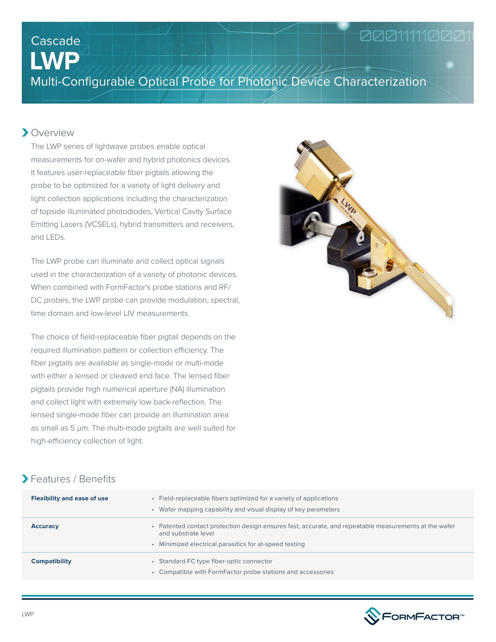# 0001111000

# **LWP** Cascade

Multi-Configurable Optical Probe for Photonic Device Characterization

#### Overview

The LWP series of lightwave probes enable optical measurements for on-wafer and hybrid photonics devices. It features user-replaceable fiber pigtails allowing the probe to be optimized for a variety of light delivery and light collection applications including the characterization of topside illuminated photodiodes, Vertical Cavity Surface Emitting Lasers (VCSELs), hybrid transmitters and receivers, and LEDs.

The LWP probe can illuminate and collect optical signals used in the characterization of a variety of photonic devices. When combined with FormFactor's probe stations and RF/ DC probes, the LWP probe can provide modulation, spectral, time domain and low-level LIV measurements.

The choice of field-replaceable fiber pigtail depends on the required illumination pattern or collection efficiency. The fiber pigtails are available as single-mode or multi-mode with either a lensed or cleaved end face. The lensed fiber pigtails provide high numerical aperture (NA) illumination and collect light with extremely low back-reflection. The lensed single-mode fiber can provide an illumination area as small as 5 μm. The multi-mode pigtails are well suited for high-efficiency collection of light.



#### Features / Benefits

| <b>Flexibility and ease of use</b> | • Field-replaceable fibers optimized for a variety of applications<br>Wafer mapping capability and visual display of key parameters                                                  |  |  |
|------------------------------------|--------------------------------------------------------------------------------------------------------------------------------------------------------------------------------------|--|--|
| <b>Accuracy</b>                    | Patented contact protection design ensures fast, accurate, and repeatable measurements at the wafer<br>and substrate level<br>• Minimized electrical parasitics for at-speed testing |  |  |
| <b>Compatibility</b>               | Standard FC type fiber-optic connector<br>۰<br>• Compatible with FormFactor probe stations and accessories                                                                           |  |  |